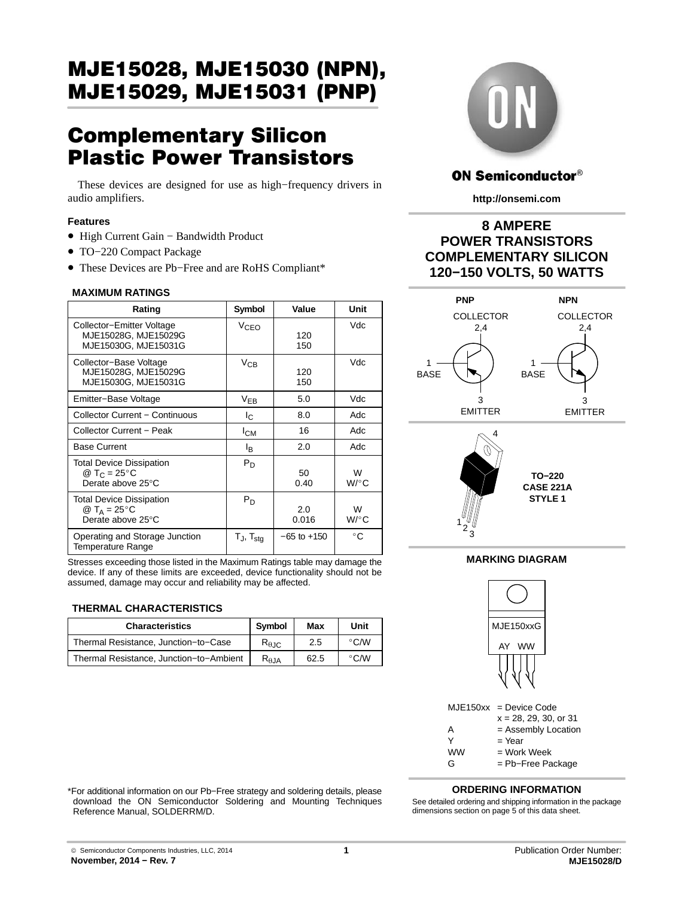# Complementary Silicon Plastic Power Transistors

These devices are designed for use as high−frequency drivers in audio amplifiers.

## **Features**

- High Current Gain − Bandwidth Product
- TO−220 Compact Package
- These Devices are Pb−Free and are RoHS Compliant\*

## **MAXIMUM RATINGS**

| Rating                                                                                     | Symbol                      | Value           | Unit                    |
|--------------------------------------------------------------------------------------------|-----------------------------|-----------------|-------------------------|
| Collector-Emitter Voltage<br>MJE15028G, MJE15029G<br>MJE15030G, MJE15031G                  | VcFo                        | 120<br>150      | Vdc                     |
| Collector-Base Voltage<br>MJE15028G, MJE15029G<br>MJE15030G, MJE15031G                     | $V_{CB}$                    | 120<br>150      | Vdc                     |
| Emitter-Base Voltage                                                                       | $V_{EB}$                    | 5.0             | Vdc                     |
| <b>Collector Current - Continuous</b>                                                      | I <sub>C</sub>              | 8.0             | Adc                     |
| Collector Current - Peak                                                                   | I <sub>СМ</sub>             | 16              | Adc                     |
| <b>Base Current</b>                                                                        | l <sub>B</sub>              | 2.0             | Adc                     |
| <b>Total Device Dissipation</b><br>@ T <sub>C</sub> = 25 $^{\circ}$ C<br>Derate above 25°C | $P_D$                       | 50<br>0.40      | W<br>$W$ / $^{\circ}$ C |
| <b>Total Device Dissipation</b><br>@ T <sub>A</sub> = 25 $\degree$ C<br>Derate above 25°C  | $P_D$                       | 2.0<br>0.016    | W<br>W/°C               |
| Operating and Storage Junction<br>Temperature Range                                        | $T_{\sf J}$ , $T_{\sf stq}$ | $-65$ to $+150$ | °C                      |

Stresses exceeding those listed in the Maximum Ratings table may damage the device. If any of these limits are exceeded, device functionality should not be assumed, damage may occur and reliability may be affected.

## **THERMAL CHARACTERISTICS**

| <b>Characteristics</b>                  | Symbol                       | Max  | Unit          |
|-----------------------------------------|------------------------------|------|---------------|
| Thermal Resistance, Junction-to-Case    | $R_{\theta \text{JC}}$       | 2.5  | $\degree$ C/W |
| Thermal Resistance, Junction-to-Ambient | $\mathsf{R}_{0,\mathsf{IA}}$ | 62.5 | $\degree$ C/W |



## **ON Semiconductor®**

**http://onsemi.com**

## **8 AMPERE POWER TRANSISTORS COMPLEMENTARY SILICON 120−150 VOLTS, 50 WATTS**





1

# **MARKING DIAGRAM**



MJE150xx = Device Code

 $x = 28, 29, 30,$  or 31

A = Assembly Location<br>Y = Year

 $=$  Year

 $WW = Work Week$ 

G = Pb−Free Package

## **ORDERING INFORMATION**

\*For additional information on our Pb−Free strategy and soldering details, please download the ON Semiconductor Soldering and Mounting Techniques Reference Manual, SOLDERRM/D.

See detailed ordering and shipping information in the package dimensions section on page [5](#page-4-0) of this data sheet.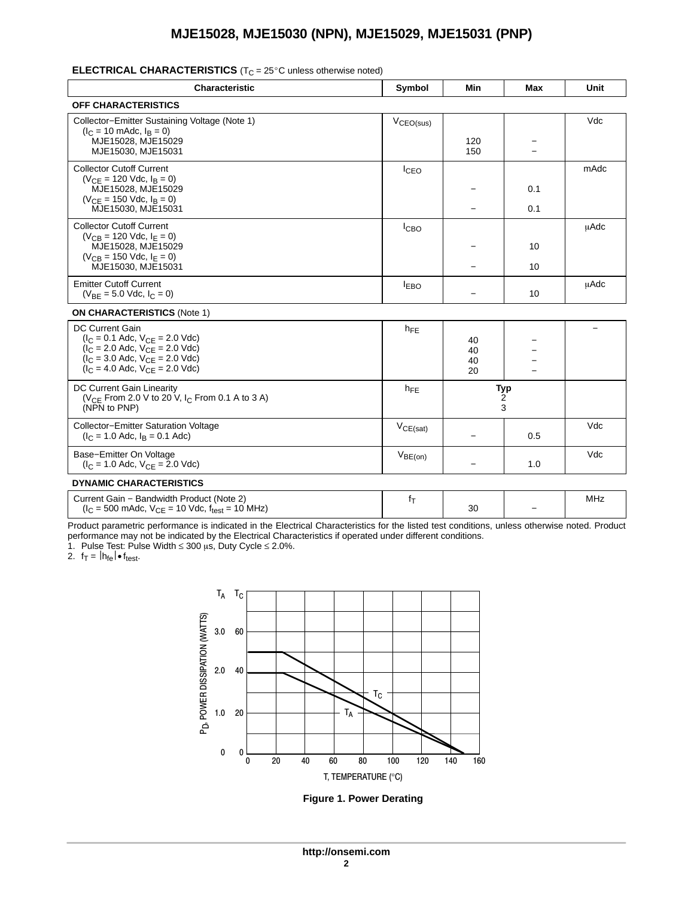# ELECTRICAL CHARACTERISTICS (T<sub>C</sub> = 25°C unless otherwise noted)

| <b>Characteristic</b>                                                                                                                                                                      | Symbol           | Min                  | <b>Max</b> | Unit        |
|--------------------------------------------------------------------------------------------------------------------------------------------------------------------------------------------|------------------|----------------------|------------|-------------|
| <b>OFF CHARACTERISTICS</b>                                                                                                                                                                 |                  |                      |            |             |
| Collector-Emitter Sustaining Voltage (Note 1)<br>$(I_C = 10 \text{ m}$ Adc, $I_B = 0$ )<br>MJE15028, MJE15029<br>MJE15030, MJE15031                                                        | $V_{CEO(sus)}$   | 120<br>150           |            | Vdc         |
| <b>Collector Cutoff Current</b><br>$(V_{CF} = 120$ Vdc, $I_B = 0$ )<br>MJE15028, MJE15029<br>$(V_{CF} = 150$ Vdc, $I_B = 0$ )<br>MJE15030, MJE15031                                        | ICEO             | -                    | 0.1<br>0.1 | mAdc        |
| <b>Collector Cutoff Current</b><br>$(V_{CB} = 120$ Vdc, $I_E = 0)$<br>MJE15028, MJE15029<br>$(V_{CB} = 150$ Vdc, $I_F = 0$ )<br>MJE15030, MJE15031                                         | I <sub>CBO</sub> |                      | 10<br>10   | <b>µAdc</b> |
| <b>Emitter Cutoff Current</b><br>$(V_{BF} = 5.0$ Vdc, $I_C = 0$ )                                                                                                                          | $I_{EBO}$        |                      | 10         | uAdc        |
| <b>ON CHARACTERISTICS (Note 1)</b>                                                                                                                                                         |                  |                      |            |             |
| <b>DC Current Gain</b><br>$(I_C = 0.1$ Adc, $V_{CE} = 2.0$ Vdc)<br>$(I_C = 2.0$ Adc, $V_{CF} = 2.0$ Vdc)<br>$(I_C = 3.0$ Adc, $V_{CE} = 2.0$ Vdc)<br>$(I_C = 4.0$ Adc, $V_{CF} = 2.0$ Vdc) | $h_{FE}$         | 40<br>40<br>40<br>20 |            |             |
| DC Current Gain Linearity<br>( $V_{CE}$ From 2.0 V to 20 V, I <sub>C</sub> From 0.1 A to 3 A)<br>(NPN to PNP)                                                                              | $h_{FE}$         | Typ<br>2<br>3        |            |             |
| <b>Collector-Emitter Saturation Voltage</b><br>$(I_C = 1.0$ Adc, $I_B = 0.1$ Adc)                                                                                                          | $V_{CE(sat)}$    |                      | 0.5        | Vdc         |
| Base-Emitter On Voltage<br>$(I_C = 1.0$ Adc, $V_{CE} = 2.0$ Vdc)                                                                                                                           | $V_{BE(on)}$     |                      | 1.0        | Vdc         |
| <b>DYNAMIC CHARACTERISTICS</b>                                                                                                                                                             |                  |                      |            |             |

| Current Gain – Bandwidth Product (Note 2)                                           |    |                          | MH. |
|-------------------------------------------------------------------------------------|----|--------------------------|-----|
| $(I_C = 500 \text{ m}$ Adc, $V_{CE} = 10 \text{ V}$ dc, f <sub>test</sub> = 10 MHz) | 30 | $\overline{\phantom{0}}$ |     |

Product parametric performance is indicated in the Electrical Characteristics for the listed test conditions, unless otherwise noted. Product performance may not be indicated by the Electrical Characteristics if operated under different conditions.

1. Pulse Test: Pulse Width  $\leq 300$  µs, Duty Cycle  $\leq 2.0\%$ .

2.  $f_T = |h_{fe}| \cdot f_{test}$ .



**Figure 1. Power Derating**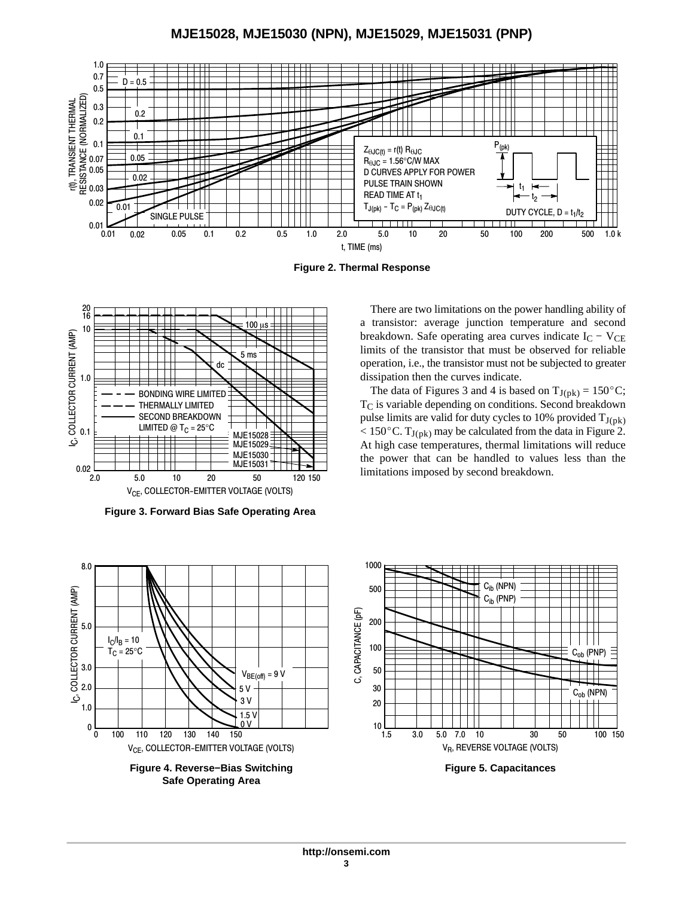

**Figure 2. Thermal Response**



**Figure 3. Forward Bias Safe Operating Area**



**Safe Operating Area**

There are two limitations on the power handling ability of a transistor: average junction temperature and second breakdown. Safe operating area curves indicate  $I_C - V_{CE}$ limits of the transistor that must be observed for reliable operation, i.e., the transistor must not be subjected to greater dissipation then the curves indicate. Example, the data of Figures 3 and 4 is based on  $T_{J(pk)} = 150^{\circ}$ C;

T<sub>C</sub> is variable depending on conditions. Second breakdown pulse limits are valid for duty cycles to 10% provided  $T_{J(nk)}$ pulse limits are valid for duty cycles to 10% provided  $T_{J(pk)}$ <br>< 150 $^{\circ}$ C.  $T_{J(pk)}$  may be calculated from the data in Figure 2. At high case temperatures, thermal limitations will reduce the power that can be handled to values less than the limitations imposed by second breakdown.



**Figure 5. Capacitances**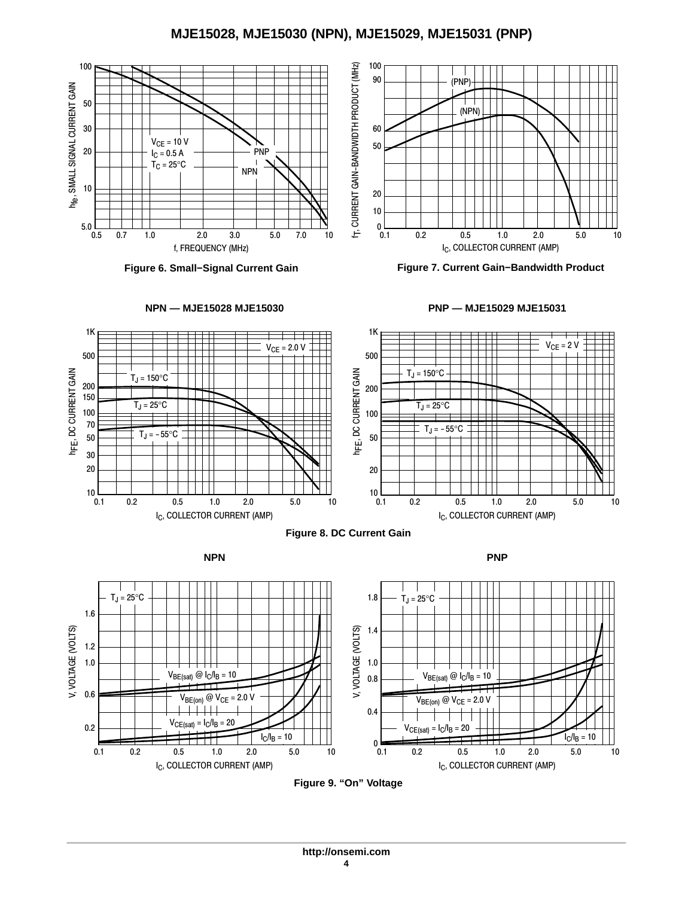



**Figure 7. Current Gain−Bandwidth Product**





**Figure 9. "On" Voltage**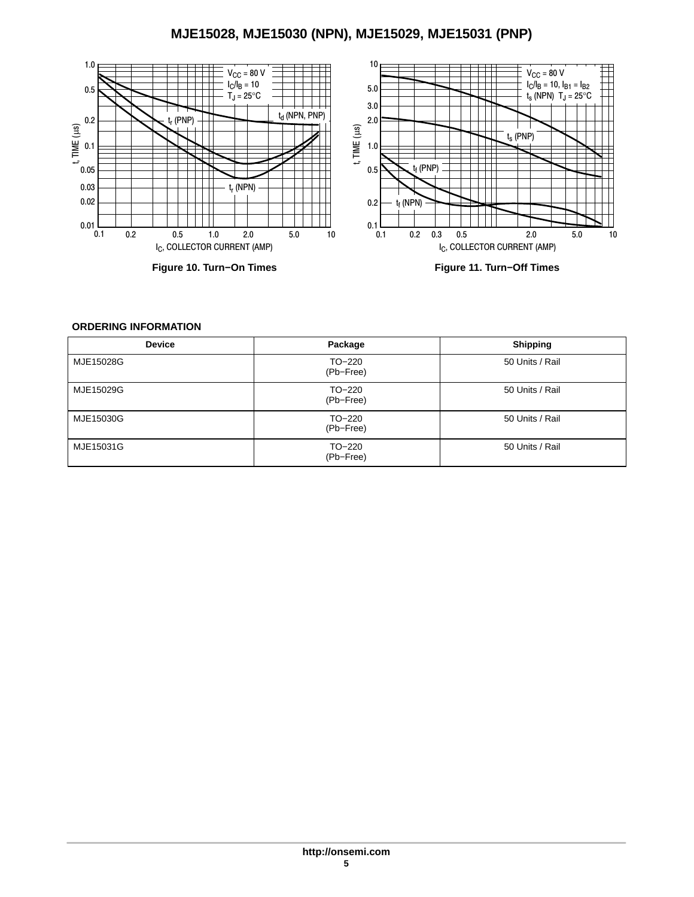<span id="page-4-0"></span>

## **ORDERING INFORMATION**

| <b>Device</b> | Package             | <b>Shipping</b> |
|---------------|---------------------|-----------------|
| MJE15028G     | TO-220<br>(Pb-Free) | 50 Units / Rail |
| MJE15029G     | TO-220<br>(Pb-Free) | 50 Units / Rail |
| MJE15030G     | TO-220<br>(Pb-Free) | 50 Units / Rail |
| MJE15031G     | TO-220<br>(Pb-Free) | 50 Units / Rail |